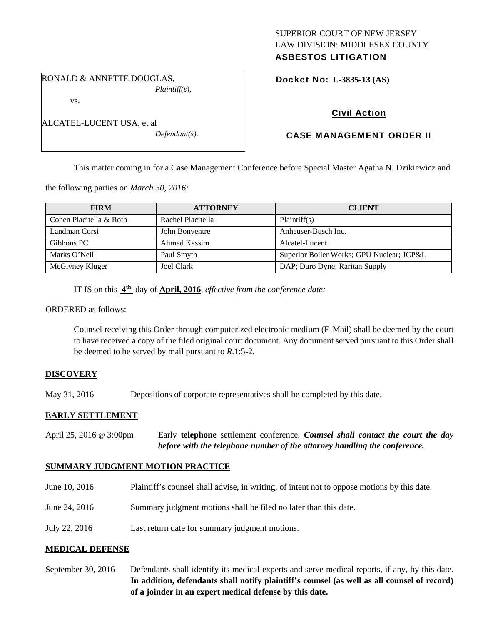### SUPERIOR COURT OF NEW JERSEY LAW DIVISION: MIDDLESEX COUNTY ASBESTOS LITIGATION

RONALD & ANNETTE DOUGLAS, *Plaintiff(s),* 

vs.

| ALCATEL-LUCENT USA, et al |                  |
|---------------------------|------------------|
|                           | $Defendant(s)$ . |

Docket No: **L-3835-13 (AS)** 

# Civil Action

# CASE MANAGEMENT ORDER II

This matter coming in for a Case Management Conference before Special Master Agatha N. Dzikiewicz and

the following parties on *March 30, 2016:* 

| <b>FIRM</b>             | <b>ATTORNEY</b>   | <b>CLIENT</b>                             |
|-------------------------|-------------------|-------------------------------------------|
| Cohen Placitella & Roth | Rachel Placitella | Plaintiff(s)                              |
| Landman Corsi           | John Bonventre    | Anheuser-Busch Inc.                       |
| Gibbons PC              | Ahmed Kassim      | Alcatel-Lucent                            |
| Marks O'Neill           | Paul Smyth        | Superior Boiler Works; GPU Nuclear; JCP&L |
| McGivney Kluger         | Joel Clark        | DAP; Duro Dyne; Raritan Supply            |

IT IS on this **4th** day of **April, 2016**, *effective from the conference date;*

ORDERED as follows:

Counsel receiving this Order through computerized electronic medium (E-Mail) shall be deemed by the court to have received a copy of the filed original court document. Any document served pursuant to this Order shall be deemed to be served by mail pursuant to *R*.1:5-2.

### **DISCOVERY**

May 31, 2016 Depositions of corporate representatives shall be completed by this date.

## **EARLY SETTLEMENT**

April 25, 2016 @ 3:00pm Early **telephone** settlement conference*. Counsel shall contact the court the day before with the telephone number of the attorney handling the conference.* 

### **SUMMARY JUDGMENT MOTION PRACTICE**

- June 10, 2016 Plaintiff's counsel shall advise, in writing, of intent not to oppose motions by this date.
- June 24, 2016 Summary judgment motions shall be filed no later than this date.
- July 22, 2016 Last return date for summary judgment motions.

### **MEDICAL DEFENSE**

September 30, 2016 Defendants shall identify its medical experts and serve medical reports, if any, by this date. **In addition, defendants shall notify plaintiff's counsel (as well as all counsel of record) of a joinder in an expert medical defense by this date.**